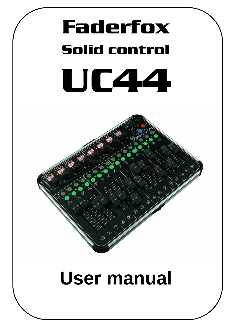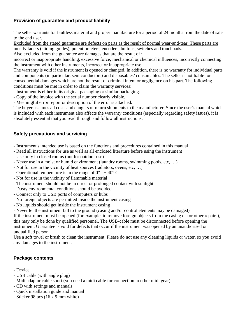## **Provision of guarantee and product liability**

The seller warrants for faultless material and proper manufacture for a period of 24 months from the date of sale to the end user.

Excluded from the stated guarantee are defects on parts as the result of normal wear-and-tear. These parts are mostly faders (sliding guides), potentiometers, encoders, buttons, switches and touchpads.

Also excluded from the guarantee are damages that are the result of :

incorrect or inappropriate handling, excessive force, mechanical or chemical influences, incorrectly connecting the instrument with other instruments, incorrect or inappropriate use.

The warranty is void if the instrument is opened or changed. In addition, there is no warranty for individual parts and components (in particular, semiconductors) and disposables/ consumables. The seller is not liable for consequential damages which are not the result of criminal intent or negligence on his part. The following conditions must be met in order to claim the warranty services:

- Instrument is either in its original packaging or similar packaging.
- Copy of the invoice with the serial number clearly visible.

- Meaningful error report or description of the error is attached.

The buyer assumes all costs and dangers of return shipments to the manufacturer. Since the user's manual which is included with each instrument also affects the warranty conditions (especially regarding safety issues), it is absolutely essential that you read through and follow all instructions.

## **Safety precautions and servicing**

- Instrument's intended use is based on the functions and procedures contained in this manual
- Read all instructions for use as well as all enclosed literature before using the instrument
- Use only in closed rooms (not for outdoor use)
- Never use in a moist or humid environment (laundry rooms, swimming pools, etc, …)
- Not for use in the vicinity of heat sources (radiators, ovens, etc, …)
- Operational temperature is in the range of  $0^{\circ}$  + 40° C
- Not for use in the vicinity of flammable material
- The instrument should not be in direct or prolonged contact with sunlight
- Dusty environmental conditions should be avoided
- Connect only to USB ports of computers or hubs
- No foreign objects are permitted inside the instrument casing
- No liquids should get inside the instrument casing
- Never let the instrument fall to the ground (casing and/or control elements may be damaged)

If the instrument must be opened (for example, to remove foreign objects from the casing or for other repairs), this may only be done by qualified personnel. The USB-cable must be disconnected before opening the instrument. Guarantee is void for defects that occur if the instrument was opened by an unauthorised or unqualified person.

Use a soft towel or brush to clean the instrument. Please do not use any cleaning liquids or water, so you avoid any damages to the instrument.

## **Package contents**

- Device
- USB cable (with angle plug)
- Midi adaptor cable short (you need a midi cable for connection to other midi gear)
- CD with settings and manuals
- Quick installation guide and manual
- Sticker 98 pcs (16 x 9 mm white)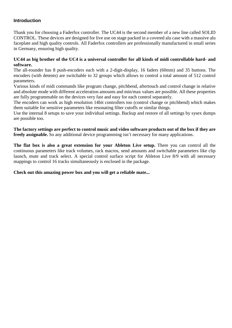#### **Introduction**

Thank you for choosing a Faderfox controller. The UC44 is the second member of a new line called SOLID CONTROL. These devices are designed for live use on stage packed in a covered alu case with a massive alu faceplate and high quality controls. All Faderfox controllers are professionally manufactured in small series in Germany, ensuring high quality.

#### **UC44 as big brother of the UC4 is a universal controller for all kinds of midi controllable hard- and software.**

The all-rounder has 8 push-encoders each with a 2-digit-display, 16 faders (60mm) and 35 buttons. The encoders (with detents) are switchable to 32 groups which allows to control a total amount of 512 control parameters.

Various kinds of midi commands like program change, pitchbend, aftertouch and control change in relative and absolute mode with different acceleration amounts and min/max values are possible. All these properties are fully programmable on the devices very fast and easy for each control separately.

The encoders can work as high resolution 14bit controllers too (control change or pitchbend) which makes them suitable for sensitive parameters like resonating filter cutoffs or similar things.

Use the internal 8 setups to save your individual settings. Backup and restore of all settings by sysex dumps are possible too.

**The factory settings are perfect to control music and video software products out of the box if they are freely assignable.** So any additional device programming isn't necessary for many applications.

**The flat box is also a great extension for your Ableton Live setup.** There you can control all the continuous parameters like track volumes, rack macros, send amounts and switchable parameters like clip launch, mute and track select. A special control surface script for Ableton Live 8/9 with all necessary mappings to control 16 tracks simultaneously is enclosed in the package.

#### **Check out this amazing power box and you will get a reliable mate...**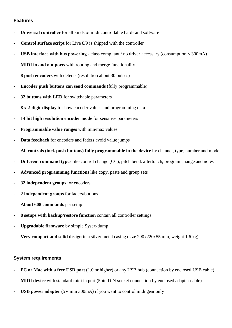#### **Features**

- **Universal controller** for all kinds of midi controllable hard- and software
- **Control surface script** for Live 8/9 is shipped with the controller
- **USB interface with bus powering -** class compliant / no driver necessary (consumption < 300mA)
- **MIDI in and out ports** with routing and merge functionality
- **8 push encoders** with detents (resolution about 30 pulses)
- **Encoder push buttons can send commands** (fully programmable)
- **32 buttons with LED** for switchable parameters
- **8 x 2-digit-display** to show encoder values and programming data
- 14 bit high resolution encoder mode for sensitive parameters
- **Programmable value ranges** with min/max values
- **Data feedback** for encoders and faders avoid value jumps
- **All controls (incl. push buttons) fully programmable in the device** by channel, type, number and mode
- **Different command types** like control change (CC), pitch bend, aftertouch, program change and notes
- **Advanced programming functions** like copy, paste and group sets
- **32 independent groups** for encoders
- **2 independent groups** for faders/buttons
- **About 608 commands** per setup
- **8 setups with backup/restore function** contain all controller settings
- **Upgradable firmware** by simple Sysex-dump
- **Very compact and solid design** in a silver metal casing (size 290x220x55 mm, weight 1.6 kg)

### **System requirements**

- **PC or Mac with a free USB port** (1.0 or higher) or any USB hub (connection by enclosed USB cable)
- **MIDI device** with standard midi in port (5pin DIN socket connection by enclosed adapter cable)
- **USB power adapter** (5V min 300mA) if you want to control midi gear only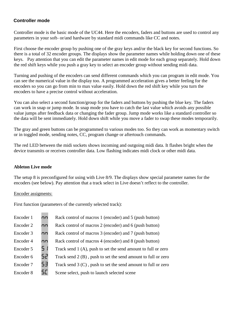## **Controller mode**

Controller mode is the basic mode of the UC44. Here the encoders, faders and buttons are used to control any parameters in your soft- or/and hardware by standard midi commands like CC and notes.

First choose the encoder group by pushing one of the gray keys and/or the black key for second functions. So there is a total of 32 encoder groups. The displays show the parameter names while holding down one of these keys. Pay attention that you can edit the parameter names in edit mode for each group separately. Hold down the red shift keys while you push a gray key to select an encoder group without sending midi data.

Turning and pushing of the encoders can send different commands which you can program in edit mode. You can see the numerical value in the display too. A programmed acceleration gives a better feeling for the encoders so you can go from min to max value easily. Hold down the red shift key while you turn the encoders to have a precise control without acceleration.

You can also select a second function/group for the faders and buttons by pushing the blue key. The faders can work in snap or jump mode. In snap mode you have to catch the last value which avoids any possible value jumps after feedback data or changing the fader group. Jump mode works like a standard controller so the data will be sent immediately. Hold down shift while you move a fader to swap these modes temporarily.

The gray and green buttons can be programmed to various modes too. So they can work as momentary switch or in toggled mode, sending notes, CC, program change or aftertouch commands.

The red LED between the midi sockets shows incoming and outgoing midi data. It flashes bright when the device transmits or receives controller data. Low flashing indicates midi clock or other midi data.

### **Ableton Live mode**

The setup 8 is preconfigured for using with Live 8/9. The displays show special parameter names for the encoders (see below). Pay attention that a track select in Live doesn't reflect to the controller.

#### Encoder assigments:

First function (parameters of the currently selected track):

| Encoder 1 | пn  | Rack control of macros 1 (encoder) and 5 (push button)          |
|-----------|-----|-----------------------------------------------------------------|
| Encoder 2 | nn  | Rack control of macros 2 (encoder) and 6 (push button)          |
| Encoder 3 | nn  | Rack control of macros 3 (encoder) and 7 (push button)          |
| Encoder 4 | nn  | Rack control of macros 4 (encoder) and 8 (push button)          |
| Encoder 5 | S 1 | Track send 1 (A), push to set the send amount to full or zero   |
| Encoder 6 | 52  | Track send $2(B)$ , push to set the send amount to full or zero |
| Encoder 7 | 53  | Track send $3(C)$ , push to set the send amount to full or zero |
| Encoder 8 | 5C  | Scene select, push to launch selected scene                     |
|           |     |                                                                 |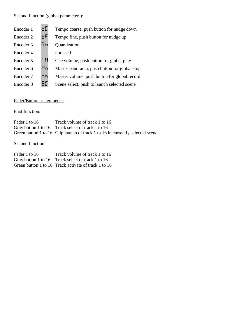Second function (global parameters):

| Encoder 1 | EГ | Tempo coarse, push button for nudge down     |
|-----------|----|----------------------------------------------|
| Encoder 2 | ЕF | Tempo fine, push button for nudge up         |
| Encoder 3 | ᠲ෬ | Quantization                                 |
| Encoder 4 |    | not used                                     |
| Encoder 5 | EШ | Cue volume, push button for global play      |
| Encoder 6 | Pn | Master panorama, push button for global stop |
| Encoder 7 | nn | Master volume, push button for global record |
| Encoder 8 | 5E | Scene select, push to launch selected scene  |

## Fader/Button assignments:

First function:

| Fader 1 to 16 | Track volume of track 1 to 16                                                 |
|---------------|-------------------------------------------------------------------------------|
|               | Gray button 1 to 16 Track select of track 1 to 16                             |
|               | Green button 1 to 16 Clip launch of track 1 to 16 in currently selected scene |

Second function:

| Fader 1 to 16 | Track volume of track 1 to 16                        |
|---------------|------------------------------------------------------|
|               | Gray button 1 to 16 Track select of track 1 to 16    |
|               | Green button 1 to 16 Track activate of track 1 to 16 |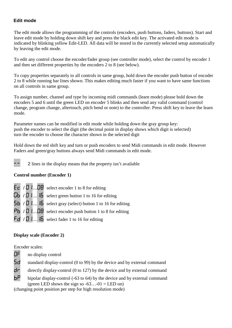## **Edit mode**

The edit mode allows the programming of the controls (encoders, push buttons, faders, buttons). Start and leave edit mode by holding down shift key and press the black edit key. The activated edit mode is indicated by blinking yellow Edit-LED. All data will be stored in the currently selected setup automatically by leaving the edit mode.

To edit any control choose the encoder/fader group (see controller mode), select the control by encoder 1 and then set different properties by the encoders 2 to 8 (see below).

To copy properties separately to all controls in same group, hold down the encoder push button of encoder 2 to 8 while running bar lines shown. This makes editing much faster if you want to have same functions on all controls in same group.

To assign number, channel and type by incoming midi commands (learn mode) please hold down the encoders 5 and 6 until the green LED on encoder 5 blinks and then send any valid command (control change, program change, aftertouch, pitch bend or note) to the controller. Press shift key to leave the learn mode.

Parameter names can be modified in edit mode while holding down the gray group key: push the encoder to select the digit (the decimal point in display shows which digit is selected) turn the encoder to choose the character shown in the selected digit

Hold down the red shift key and turn or push encoders to send Midi commands in edit mode. However Faders and green/gray buttons always send Midi commands in edit mode.

2 lines in the display means that the property isn't available

### **Control number (Encoder 1)**

 $\mathsf{E}\mathsf{C}$  /  $\mathsf{D}\mathsf{1}$ .... $\mathsf{D}\mathsf{B}$  select encoder 1 to 8 for editing  $\overline{\mathsf{Gb}}$  /  $\overline{\mathsf{D}}$  1.... **15** select green button 1 to 16 for editing  $\overline{\mathbf{5b}}$  /  $\overline{\mathbf{0}}$  1....  $\overline{\mathbf{16}}$  select gray (select) button 1 to 16 for editing  $P_1$  /  $\Box$  1....  $\Box$  select encoder push button 1 to 8 for editing  $Fd$  /  $D$  1....  $16$  select fader 1 to 16 for editing

### **Display scale (Encoder 2)**

Encoder scales:

- OF no display control
- **Sd** standard display-control (0 to 99) by the device and by external command
- $d\mathbf{r}$  directly display-control (0 to 127) by the device and by external command
- $\mathbf{b}P$  bipolar display-control (-63 to 64) by the device and by external command (green LED shows the sign so  $-63...-01 =$  LED on)

(changing point position per step for high resolution mode)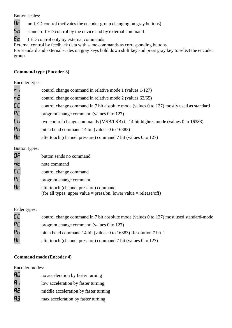Button scales:

OF no LED control (activates the encoder group changing on gray buttons)

**Sd** standard LED control by the device and by external command

Et LED control only by external commands

External control by feedback data with same commands as corresponding buttons.

For standard and external scales on gray keys hold down shift key and press gray key to select the encoder group.

## **Command type (Encoder 3)**

## Encoder types:

| r                    | control change command in relative mode 1 (values 1/127)                                |
|----------------------|-----------------------------------------------------------------------------------------|
| ج م                  | control change command in relative mode 2 (values 63/65)                                |
| <b>CC</b>            | control change command in 7 bit absolute mode (values 0 to 127) mostly used as standard |
| РC                   | program change command (values $0$ to 127)                                              |
| Сh                   | two control change commands (MSB/LSB) in 14 bit highres mode (values 0 to 16383)        |
| PЬ                   | pitch bend command 14 bit (values 0 to 16383)                                           |
| <b>A<sub>L</sub></b> | aftertouch (channel pressure) command 7 bit (values 0 to 127)                           |

### Button types:

| ΩF | button sends no command                                            |
|----|--------------------------------------------------------------------|
| nÈ | note command                                                       |
| EЕ | control change command                                             |
| PC | program change command                                             |
| AF | aftertouch (channel pressure) command                              |
|    | (for all types: upper value = press/on, lower value = release/off) |

## Fader types:

| <b>CC</b>            | control change command in 7 bit absolute mode (values 0 to 127) most used standard-mode |
|----------------------|-----------------------------------------------------------------------------------------|
| РC                   | program change command (values $0$ to 127)                                              |
| Рь                   | pitch bend command 14 bit (values 0 to 16383) Resolution 7 bit !                        |
| <b>A<sub>L</sub></b> | aftertouch (channel pressure) command 7 bit (values 0 to 127)                           |

## **Command mode (Encoder 4)**

Encoder modes:

| AO  | no acceleration by faster turning     |
|-----|---------------------------------------|
| R I | low acceleration by faster turning    |
| R2  | middle acceleration by faster turning |
| RЭ  | max acceleration by faster turning    |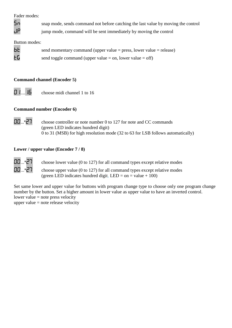Fader modes:

Sn snap mode, sends command not before catching the last value by moving the control

 $J\mathsf{P}$  jump mode, command will be sent immediately by moving the control

Button modes:

 **send momentary command (upper value = press, lower value = release)**  $E_1$  send toggle command (upper value = on, lower value = off)

## **Command channel (Encoder 5)**

01....16 choose midi channel 1 to 16

## **Command number (Encoder 6)**

 $\overline{00}$ ...\* $\overline{27}$  choose controller or note number 0 to 127 for note and CC commands (green LED indicates hundred digit) 0 to 31 (MSB) for high resolution mode (32 to 63 for LSB follows automatically)

## **Lower / upper value (Encoder 7 / 8)**

 $\Box$ ...\* $\Box$  choose lower value (0 to 127) for all command types except relative modes  $\Box$ ...\* $\Box$  choose upper value (0 to 127) for all command types except relative modes (green LED indicates hundred digit,  $LED = on = value + 100$ )

Set same lower and upper value for buttons with program change type to choose only one program change number by the button. Set a higher amount in lower value as upper value to have an inverted control. lower value  $=$  note press velocity

upper value  $=$  note release velocity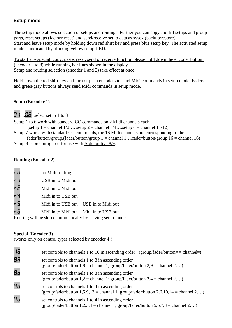### **Setup mode**

The setup mode allows selection of setups and routings. Further you can copy and fill setups and group parts, reset setups (factory reset) and send/receive setup data as sysex (backup/restore). Start and leave setup mode by holding down red shift key and press blue setup key. The activated setup mode is indicated by blinking yellow setup-LED.

To start any special, copy, paste, reset, send or receive function please hold down the encoder button (encoder 3 to 8) while running bar lines shown in the display. Setup and routing selection (encoder 1 and 2) take effect at once.

Hold down the red shift key and turn or push encoders to send Midi commands in setup mode. Faders and green/gray buttons always send Midi commands in setup mode.

### **Setup (Encoder 1)**

**D** 1....**DB** select setup 1 to 8

Setup 1 to 6 work with standard CC commands on 2 Midi channels each. (setup 1 = channel  $1/2...$  setup 2 = channel  $3/4...$ setup 6 = channel  $11/12$ ) Setup 7 works with standard CC commands, the 16 Midi channels are corresponding to the

fader/button/group.(fader/button/group  $1 =$  channel 1....fader/button/group  $16 =$  channel 16) Setup 8 is preconfigured for use with Ableton live 8/9.

#### **Routing (Encoder 2)**

| r0           | no Midi routing                                             |
|--------------|-------------------------------------------------------------|
| $\mathsf{r}$ | USB in to Midi out                                          |
| ح م          | Midi in to Midi out                                         |
|              | Midi in to USB out                                          |
| $-5$         | Midi in to USB out $+$ USB in to Midi out                   |
| rБ           | Midi in to Midi out $+$ Midi in to USB out                  |
|              | Routing will be stored automatically by leaving setup mode. |

#### **Special (Encoder 3)**

(works only on control types selected by encoder 4!)

| 16 | set controls to channels 1 to 16 in ascending order (group/fader/button# = channel#)                                                             |
|----|--------------------------------------------------------------------------------------------------------------------------------------------------|
| ΘA | set controls to channels 1 to 8 in ascending order<br>(group/fader/button $1,8$ = channel 1; group/fader/button $2,9$ = channel $2$ )            |
| ΒЬ | set controls to channels 1 to 8 in ascending order<br>(group/fader/button $1,2$ = channel 1; group/fader/button $3,4$ = channel $2$ )            |
| ЧR | set controls to channels 1 to 4 in ascending order<br>(group/fader/button $1,5,9,13$ = channel 1; group/fader/button $2,6,10,14$ = channel $2$ ) |
| ЧЬ | set controls to channels 1 to 4 in ascending order<br>(group/fader/button $1,2,3,4$ = channel 1; group/fader/button $5,6,7,8$ = channel $2$ )    |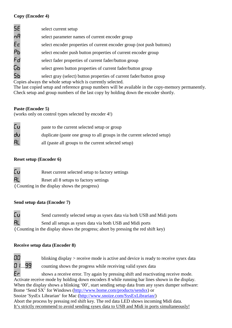## **Copy (Encoder 4)**

| 5E | select current setup                                                  |
|----|-----------------------------------------------------------------------|
| nA | select parameter names of current encoder group                       |
| Eс | select encoder properties of current encoder group (not push buttons) |
| Рь | select encoder push button properties of current encoder group        |
| Fd | select fader properties of current fader/button group                 |
| GЬ | select green button properties of current fader/button group          |
| 5ь | select gray (select) button properties of current fader/button group  |

Copies always the whole setup which is currently selected.

The last copied setup and reference group numbers will be available in the copy-memory permanently. Check setup and group numbers of the last copy by holding down the encoder shortly.

### **Paste (Encoder 5)**

(works only on control types selected by encoder 4!)

| Γu | paste to the current selected setup or group                            |
|----|-------------------------------------------------------------------------|
| du | duplicate (paste one group to all groups in the current selected setup) |
| AL | all (paste all groups to the current selected setup)                    |

## **Reset setup (Encoder 6)**

<sup>C</sup>u Reset current selected setup to factory settings

**AL** Reset all 8 setups to factory settings

(Counting in the display shows the progress)

### **Send setup data (Encoder 7)**

<sup>C</sup>u Send currently selected setup as sysex data via both USB and Midi ports

**AL** Send all setups as sysex data via both USB and Midi ports

(Counting in the display shows the progress; abort by pressing the red shift key)

## **Receive setup data (Encoder 8)**



 $\Box$  blinking display > receive mode is active and device is ready to receive sysex data

**01....99** counting shows the progress while receiving valid sysex data

Er shows a receive error. Try again by pressing shift and reactivating receive mode. Activate receive mode by holding down encoders 8 while running bar lines shown in the display. When the display shows a blinking '00', start sending setup data from any sysex dumper software: Bome 'Send SX' for Windows (http://www.bome.com/products/sendsx) or Snoize 'SysEx Librarian' for Mac (http://www.snoize.com/SysExLibrarian/) Abort the process by pressing red shift key. The red data LED shows incoming Midi data. It's strictly recommend to avoid sending sysex data to USB and Midi in ports simultaneously!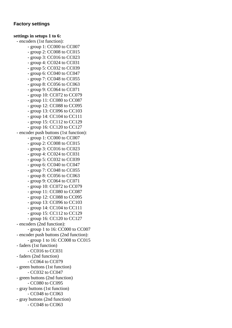#### **Factory settings**

## **settings in setups 1 to 6:**

- encoders (1st function):

- group 1: CC000 to CC007
- group 2: CC008 to CC015
- group 3: CC016 to CC023
- group 4: CC024 to CC031
- group 5: CC032 to CC039
- group 6: CC040 to CC047
- group 7: CC048 to CC055
- group 8: CC056 to CC063
- group 9: CC064 to CC071
- group 10: CC072 to CC079
- group 11: CC080 to CC087
- group 12: CC088 to CC095
- group 13: CC096 to CC103
- group 14: CC104 to CC111
- group 15: CC112 to CC129
- group 16: CC120 to CC127

- encoder push buttons (1st function):

- group 1: CC000 to CC007
- group 2: CC008 to CC015
- group 3: CC016 to CC023
- group 4: CC024 to CC031
- group 5: CC032 to CC039
- group 6: CC040 to CC047
- group 7: CC048 to CC055
- group 8: CC056 to CC063
- group 9: CC064 to CC071
- group 10: CC072 to CC079
- group 11: CC080 to CC087
- group 12: CC088 to CC095
- group 13: CC096 to CC103
- group 14: CC104 to CC111
- group 15: CC112 to CC129
- group 16: CC120 to CC127
- encoders (2nd function):
	- group 1 to 16: CC000 to CC007
- encoder push buttons (2nd function):
- group 1 to 16: CC008 to CC015
- faders (1st function)
- CC016 to CC031
- faders (2nd function)
	- CC064 to CC079
- green buttons (1st function)
- CC032 to CC047
- green buttons (2nd function)
	- CC080 to CC095
- gray buttons (1st function) - CC048 to CC063
- gray buttons (2nd function)
	- CC048 to CC063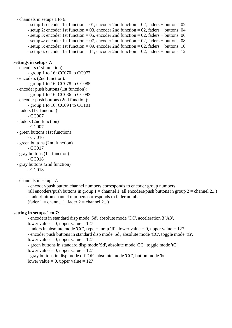- channels in setups 1 to 6:

- setup 1: encoder 1st function = 01, encoder 2nd function = 02, faders + buttons: 02
- setup 2: encoder 1st function = 03, encoder 2nd function = 02, faders + buttons: 04
- setup 3: encoder 1st function = 05, encoder 2nd function = 02, faders + buttons: 06
- setup 4: encoder 1st function = 07, encoder 2nd function = 02, faders + buttons: 08
- setup 5: encoder 1st function = 09, encoder 2nd function = 02, faders + buttons: 10
- setup 6: encoder 1st function  $= 11$ , encoder 2nd function  $= 02$ , faders + buttons: 12

#### **settings in setups 7:**

 - encoders (1st function): - group 1 to 16: CC070 to CC077 - encoders (2nd function): - group 1 to 16: CC078 to CC085 - encoder push buttons (1st function): - group 1 to 16: CC086 to CC093 - encoder push buttons (2nd function): - group 1 to 16: CC094 to CC101 - faders (1st function) - CC007 - faders (2nd function) - CC007 - green buttons (1st function) - CC016 - green buttons (2nd function) - CC017 - gray buttons (1st function) - CC018 - gray buttons (2nd function)

- CC018

- channels in setups 7:

- encoder/push button channel numbers corresponds to encoder group numbers

(all encoders/push buttons in group  $1 =$  channel 1, all encoders/push buttons in group  $2 =$  channel 2...) - fader/button channel numbers corresponds to fader number (fader  $1 =$  channel 1, fader  $2 =$  channel 2...)

#### **setting in setups 1 to 7:**

 - encoders in standard disp mode 'Sd', absolute mode 'CC', acceleration 3 'A3', lower value  $= 0$ , upper value  $= 127$ - faders in absolute mode 'CC', type = jump 'JP', lower value = 0, upper value =  $127$ 

- encoder push buttons in standard disp mode 'Sd', absolute mode 'CC', toggle mode 'tG',

lower value  $= 0$ , upper value  $= 127$ 

 - green buttons in standard disp mode 'Sd', absolute mode 'CC', toggle mode 'tG', lower value  $= 0$ , upper value  $= 127$ 

- gray buttons in disp mode off 'OF', absolute mode 'CC', button mode 'bt',

lower value  $= 0$ , upper value  $= 127$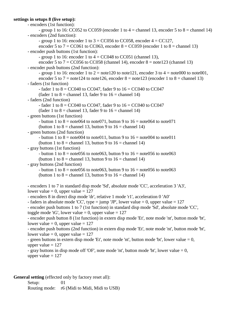#### **settings in setups 8 (live setup):**

```
 - encoders (1st function): 
      - group 1 to 16: CC052 to CC059 (encoder 1 to 4 = channel 13, encoder 5 to 8 = channel 14)
 - encoders (2nd function): 
      - group 1 to 16: encoder 1 to 3 = CC056 to CC058, encoder 4 = CC127,
      encoder 5 to 7 = CC061 to CC063, encoder 8 = CC059 (encoder 1 to 8 = channel 13)
 - encoder push buttons (1st function): 
      - group 1 to 16: encoder 1 to 4 = CC048 to CC051 (channel 13),
      encoder 5 to 7 = CC056 to CC058 (channel 14), encoder 8 = note123 (channel 13)
 - encoder push buttons (2nd function): 
      - group 1 to 16: encoder 1 to 2 = note 120 to note 121, encoder 3 to 4 = note 000 to note 001,
      encoder 5 to 7 = note124 to note126, encoder 8 = note123 (encoder 1 to 8 = channel 13)
 - faders (1st function) 
      - fader 1 to 8 = CC040 to CC047, fader 9 to 16 = CC040 to CC047(fader 1 to 8 = channel 13, fader 9 to 16 = channel 14)
 - faders (2nd function) 
      - fader 1 to 8 = CC040 to CC047, fader 9 to 16 = CC040 to CC047(fader 1 to 8 = channel 13, fader 9 to 16 = channel 14)
 - green buttons (1st function) 
      - button 1 to 8 = note 064 to note 071, button 9 to 16 = note 064 to note 071
      (button 1 to 8 = channel 13, button 9 to 16 = channel 14)
 - green buttons (2nd function) 
      - button 1 to 8 = note 004 to note 011, button 9 to 16 = note 004 to note 011
      (button 1 to 8 = channel 13, button 9 to 16 = channel 14)
 - gray buttons (1st function) 
      - button 1 to 8 = note 056 to note 063, button 9 to 16 = note 056 to note 063
      (button 1 to 8 = channel 13, button 9 to 16 = channel 14)
 - gray buttons (2nd function) 
      - button 1 to 8 = note 056 to note 063, button 9 to 16 = note 056 to note 063
      (button 1 to 8 = channel 13, button 9 to 16 = channel 14)
 - encoders 1 to 7 in standard disp mode 'Sd', absolute mode 'CC', acceleration 3 'A3', 
lower value = 0, upper value = 127 - encoders 8 in direct disp mode 'dr', relative 1 mode 'r1', acceleration 0 'A0' 
- faders in absolute mode 'CC', type = jump 'JP', lower value = 0, upper value = 127 - encoder push buttons 1 to 7 (1st function) in standard disp mode 'Sd', absolute mode 'CC', 
toggle mode 'tG', lower value = 0, upper value = 127 - encoder push button 8 (1st function) in extern disp mode 'Et', note mode 'nt', button mode 'bt', 
lower value = 0, upper value = 127 - encoder push buttons (2nd function) in extern disp mode 'Et', note mode 'nt', button mode 'bt', 
lower value = 0, upper value = 127- green buttons in extern disp mode 'Et', note mode 'nt', button mode 'bt', lower value = 0,
upper value = 127- gray buttons in disp mode off 'OF', note mode 'nt', button mode 'bt', lower value = 0.
upper value = 127
```
**General setting** (effected only by factory reset all):

Setup: 01 Routing mode: r6 (Midi to Midi, Midi to USB)